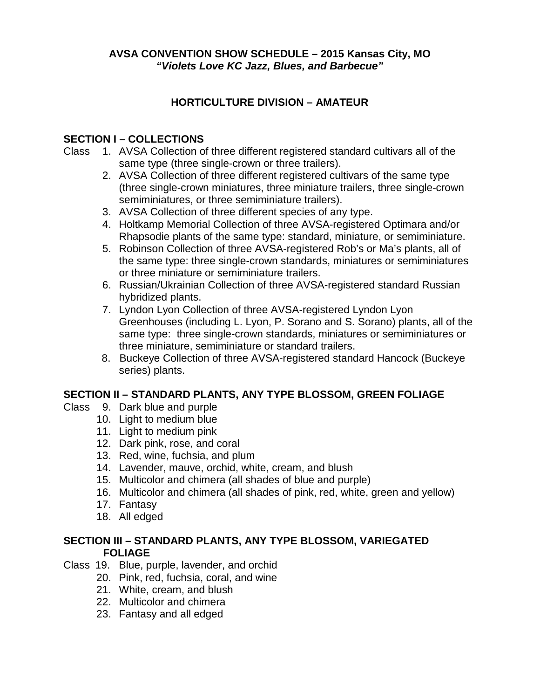**AVSA CONVENTION SHOW SCHEDULE – 2015 Kansas City, MO** *"Violets Love KC Jazz, Blues, and Barbecue"*

# **HORTICULTURE DIVISION – AMATEUR**

# **SECTION I – COLLECTIONS**

- Class 1. AVSA Collection of three different registered standard cultivars all of the same type (three single-crown or three trailers).
	- 2. AVSA Collection of three different registered cultivars of the same type (three single-crown miniatures, three miniature trailers, three single-crown semiminiatures, or three semiminiature trailers).
	- 3. AVSA Collection of three different species of any type.
	- 4. Holtkamp Memorial Collection of three AVSA-registered Optimara and/or Rhapsodie plants of the same type: standard, miniature, or semiminiature.
	- 5. Robinson Collection of three AVSA-registered Rob's or Ma's plants, all of the same type: three single-crown standards, miniatures or semiminiatures or three miniature or semiminiature trailers.
	- 6. Russian/Ukrainian Collection of three AVSA-registered standard Russian hybridized plants.
	- 7. Lyndon Lyon Collection of three AVSA-registered Lyndon Lyon Greenhouses (including L. Lyon, P. Sorano and S. Sorano) plants, all of the same type: three single-crown standards, miniatures or semiminiatures or three miniature, semiminiature or standard trailers.
	- 8. Buckeye Collection of three AVSA-registered standard Hancock (Buckeye series) plants.

# **SECTION II – STANDARD PLANTS, ANY TYPE BLOSSOM, GREEN FOLIAGE**

- Class 9. Dark blue and purple
	- 10. Light to medium blue
		- 11. Light to medium pink
		- 12. Dark pink, rose, and coral
		- 13. Red, wine, fuchsia, and plum
		- 14. Lavender, mauve, orchid, white, cream, and blush
		- 15. Multicolor and chimera (all shades of blue and purple)
		- 16. Multicolor and chimera (all shades of pink, red, white, green and yellow)
		- 17. Fantasy
		- 18. All edged

#### **SECTION III – STANDARD PLANTS, ANY TYPE BLOSSOM, VARIEGATED FOLIAGE**

- Class 19. Blue, purple, lavender, and orchid
	- 20. Pink, red, fuchsia, coral, and wine
	- 21. White, cream, and blush
	- 22. Multicolor and chimera
	- 23. Fantasy and all edged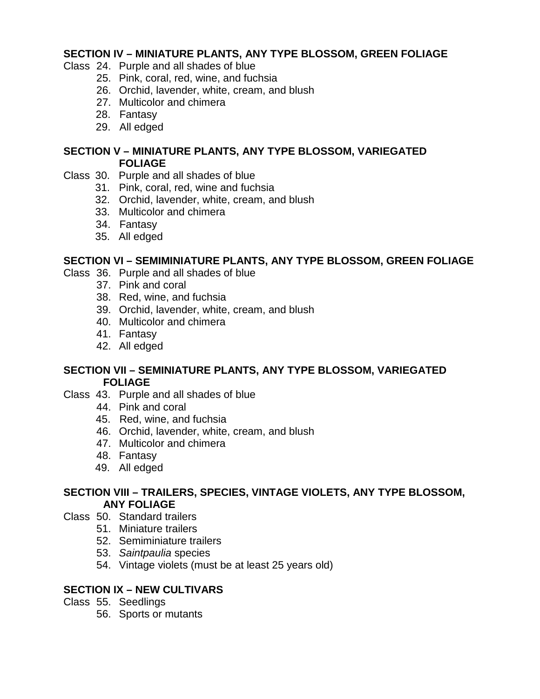#### **SECTION IV – MINIATURE PLANTS, ANY TYPE BLOSSOM, GREEN FOLIAGE**

- Class 24. Purple and all shades of blue
	- 25. Pink, coral, red, wine, and fuchsia
	- 26. Orchid, lavender, white, cream, and blush
	- 27. Multicolor and chimera
	- 28. Fantasy
	- 29. All edged

#### **SECTION V – MINIATURE PLANTS, ANY TYPE BLOSSOM, VARIEGATED FOLIAGE**

- Class 30. Purple and all shades of blue
	- 31. Pink, coral, red, wine and fuchsia
	- 32. Orchid, lavender, white, cream, and blush
	- 33. Multicolor and chimera
	- 34. Fantasy
	- 35. All edged

# **SECTION VI – SEMIMINIATURE PLANTS, ANY TYPE BLOSSOM, GREEN FOLIAGE**

- Class 36. Purple and all shades of blue
	- 37. Pink and coral
		- 38. Red, wine, and fuchsia
		- 39. Orchid, lavender, white, cream, and blush
		- 40. Multicolor and chimera
		- 41. Fantasy
		- 42. All edged

#### **SECTION VII – SEMINIATURE PLANTS, ANY TYPE BLOSSOM, VARIEGATED FOLIAGE**

- Class 43. Purple and all shades of blue
	- 44. Pink and coral
	- 45. Red, wine, and fuchsia
	- 46. Orchid, lavender, white, cream, and blush
	- 47. Multicolor and chimera
	- 48. Fantasy
	- 49. All edged

#### **SECTION VIII – TRAILERS, SPECIES, VINTAGE VIOLETS, ANY TYPE BLOSSOM, ANY FOLIAGE**

- Class 50. Standard trailers
	- 51. Miniature trailers
	- 52. Semiminiature trailers
	- 53. *Saintpaulia* species
	- 54. Vintage violets (must be at least 25 years old)

# **SECTION IX – NEW CULTIVARS**

- Class 55. Seedlings
	- 56. Sports or mutants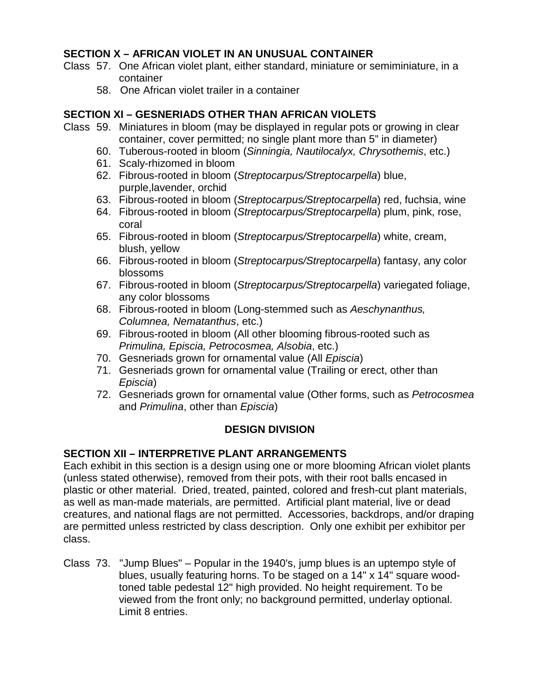# **SECTION X – AFRICAN VIOLET IN AN UNUSUAL CONTAINER**

- Class 57. One African violet plant, either standard, miniature or semiminiature, in a container
	- 58. One African violet trailer in a container

#### **SECTION XI – GESNERIADS OTHER THAN AFRICAN VIOLETS**

- Class 59. Miniatures in bloom (may be displayed in regular pots or growing in clear container, cover permitted; no single plant more than 5" in diameter)
	- 60. Tuberous-rooted in bloom (*Sinningia, Nautilocalyx, Chrysothemis*, etc.)
	- 61. Scaly-rhizomed in bloom
	- 62. Fibrous-rooted in bloom (*Streptocarpus/Streptocarpella*) blue, purple,lavender, orchid
	- 63. Fibrous-rooted in bloom (*Streptocarpus/Streptocarpella*) red, fuchsia, wine
	- 64. Fibrous-rooted in bloom (*Streptocarpus/Streptocarpella*) plum, pink, rose, coral
	- 65. Fibrous-rooted in bloom (*Streptocarpus/Streptocarpella*) white, cream, blush, yellow
	- 66. Fibrous-rooted in bloom (*Streptocarpus/Streptocarpella*) fantasy, any color blossoms
	- 67. Fibrous-rooted in bloom (*Streptocarpus/Streptocarpella*) variegated foliage, any color blossoms
	- 68. Fibrous-rooted in bloom (Long-stemmed such as *Aeschynanthus, Columnea, Nematanthus*, etc.)
	- 69. Fibrous-rooted in bloom (All other blooming fibrous-rooted such as *Primulina, Episcia, Petrocosmea, Alsobia*, etc.)
	- 70. Gesneriads grown for ornamental value (All *Episcia*)
	- 71. Gesneriads grown for ornamental value (Trailing or erect, other than *Episcia*)
	- 72. Gesneriads grown for ornamental value (Other forms, such as *Petrocosmea* and *Primulina*, other than *Episcia*)

# **DESIGN DIVISION**

# **SECTION XII – INTERPRETIVE PLANT ARRANGEMENTS**

Each exhibit in this section is a design using one or more blooming African violet plants (unless stated otherwise), removed from their pots, with their root balls encased in plastic or other material. Dried, treated, painted, colored and fresh-cut plant materials, as well as man-made materials, are permitted. Artificial plant material, live or dead creatures, and national flags are not permitted. Accessories, backdrops, and/or draping are permitted unless restricted by class description. Only one exhibit per exhibitor per class.

Class 73. "Jump Blues" – Popular in the 1940's, jump blues is an uptempo style of blues, usually featuring horns. To be staged on a 14" x 14" square woodtoned table pedestal 12" high provided. No height requirement. To be viewed from the front only; no background permitted, underlay optional. Limit 8 entries.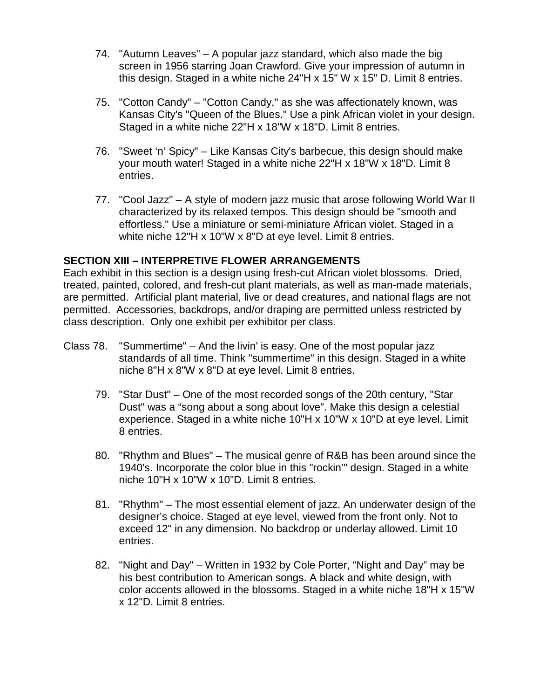- 74. "Autumn Leaves" A popular jazz standard, which also made the big screen in 1956 starring Joan Crawford. Give your impression of autumn in this design. Staged in a white niche 24"H x 15" W x 15" D. Limit 8 entries.
- 75. "Cotton Candy" "Cotton Candy," as she was affectionately known, was Kansas City's "Queen of the Blues." Use a pink African violet in your design. Staged in a white niche 22"H x 18"W x 18"D. Limit 8 entries.
- 76. "Sweet 'n' Spicy" Like Kansas City's barbecue, this design should make your mouth water! Staged in a white niche 22"H x 18"W x 18"D. Limit 8 entries.
- 77. "Cool Jazz" A style of modern jazz music that arose following World War II characterized by its relaxed tempos. This design should be "smooth and effortless." Use a miniature or semi-miniature African violet. Staged in a white niche 12"H x 10"W x 8"D at eye level. Limit 8 entries.

#### **SECTION XIII – INTERPRETIVE FLOWER ARRANGEMENTS**

Each exhibit in this section is a design using fresh-cut African violet blossoms. Dried, treated, painted, colored, and fresh-cut plant materials, as well as man-made materials, are permitted. Artificial plant material, live or dead creatures, and national flags are not permitted. Accessories, backdrops, and/or draping are permitted unless restricted by class description. Only one exhibit per exhibitor per class.

- Class 78. "Summertime" And the livin' is easy. One of the most popular jazz standards of all time. Think "summertime" in this design. Staged in a white niche 8"H x 8"W x 8"D at eye level. Limit 8 entries.
	- 79. "Star Dust" One of the most recorded songs of the 20th century, "Star Dust" was a "song about a song about love". Make this design a celestial experience. Staged in a white niche 10"H x 10"W x 10"D at eye level. Limit 8 entries.
	- 80. "Rhythm and Blues" The musical genre of R&B has been around since the 1940's. Incorporate the color blue in this "rockin'" design. Staged in a white niche 10"H x 10"W x 10"D. Limit 8 entries.
	- 81. "Rhythm" The most essential element of jazz. An underwater design of the designer's choice. Staged at eye level, viewed from the front only. Not to exceed 12" in any dimension. No backdrop or underlay allowed. Limit 10 entries.
	- 82. "Night and Day" Written in 1932 by Cole Porter, "Night and Day" may be his best contribution to American songs. A black and white design, with color accents allowed in the blossoms. Staged in a white niche 18"H x 15"W x 12"D. Limit 8 entries.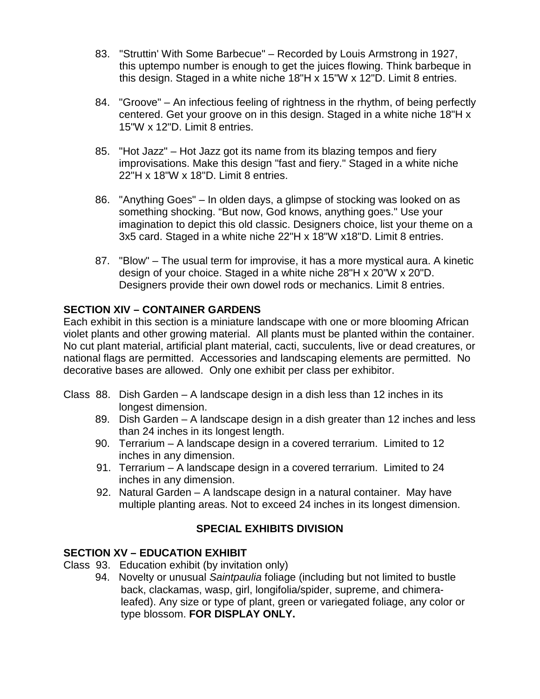- 83. "Struttin' With Some Barbecue" Recorded by Louis Armstrong in 1927, this uptempo number is enough to get the juices flowing. Think barbeque in this design. Staged in a white niche 18"H x 15"W x 12"D. Limit 8 entries.
- 84. "Groove" An infectious feeling of rightness in the rhythm, of being perfectly centered. Get your groove on in this design. Staged in a white niche 18"H x 15"W x 12"D. Limit 8 entries.
- 85. "Hot Jazz" Hot Jazz got its name from its blazing tempos and fiery improvisations. Make this design "fast and fiery." Staged in a white niche 22"H x 18"W x 18"D. Limit 8 entries.
- 86. "Anything Goes" In olden days, a glimpse of stocking was looked on as something shocking. "But now, God knows, anything goes." Use your imagination to depict this old classic. Designers choice, list your theme on a 3x5 card. Staged in a white niche 22"H x 18"W x18"D. Limit 8 entries.
- 87. "Blow" The usual term for improvise, it has a more mystical aura. A kinetic design of your choice. Staged in a white niche 28"H x 20"W x 20"D. Designers provide their own dowel rods or mechanics. Limit 8 entries.

# **SECTION XIV – CONTAINER GARDENS**

Each exhibit in this section is a miniature landscape with one or more blooming African violet plants and other growing material. All plants must be planted within the container. No cut plant material, artificial plant material, cacti, succulents, live or dead creatures, or national flags are permitted. Accessories and landscaping elements are permitted. No decorative bases are allowed. Only one exhibit per class per exhibitor.

- Class 88. Dish Garden A landscape design in a dish less than 12 inches in its longest dimension.
	- 89. Dish Garden A landscape design in a dish greater than 12 inches and less than 24 inches in its longest length.
	- 90. Terrarium A landscape design in a covered terrarium. Limited to 12 inches in any dimension.
	- 91. Terrarium A landscape design in a covered terrarium. Limited to 24 inches in any dimension.
	- 92. Natural Garden A landscape design in a natural container. May have multiple planting areas. Not to exceed 24 inches in its longest dimension.

# **SPECIAL EXHIBITS DIVISION**

# **SECTION XV – EDUCATION EXHIBIT**

- Class 93. Education exhibit (by invitation only)
	- 94. Novelty or unusual *Saintpaulia* foliage (including but not limited to bustle back, clackamas, wasp, girl, longifolia/spider, supreme, and chimeraleafed). Any size or type of plant, green or variegated foliage, any color or type blossom. **FOR DISPLAY ONLY.**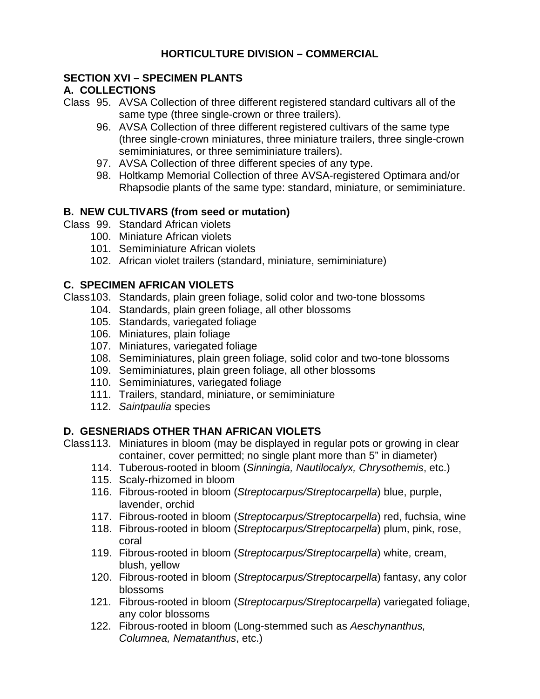# **HORTICULTURE DIVISION – COMMERCIAL**

#### **SECTION XVI – SPECIMEN PLANTS**

# **A. COLLECTIONS**

- Class 95. AVSA Collection of three different registered standard cultivars all of the same type (three single-crown or three trailers).
	- 96. AVSA Collection of three different registered cultivars of the same type (three single-crown miniatures, three miniature trailers, three single-crown semiminiatures, or three semiminiature trailers).
	- 97. AVSA Collection of three different species of any type.
	- 98. Holtkamp Memorial Collection of three AVSA-registered Optimara and/or Rhapsodie plants of the same type: standard, miniature, or semiminiature.

# **B. NEW CULTIVARS (from seed or mutation)**

- Class 99. Standard African violets
	- 100. Miniature African violets
	- 101. Semiminiature African violets
	- 102. African violet trailers (standard, miniature, semiminiature)

# **C. SPECIMEN AFRICAN VIOLETS**

Class103. Standards, plain green foliage, solid color and two-tone blossoms

- 104. Standards, plain green foliage, all other blossoms
- 105. Standards, variegated foliage
- 106. Miniatures, plain foliage
- 107. Miniatures, variegated foliage
- 108. Semiminiatures, plain green foliage, solid color and two-tone blossoms
- 109. Semiminiatures, plain green foliage, all other blossoms
- 110. Semiminiatures, variegated foliage
- 111. Trailers, standard, miniature, or semiminiature
- 112. *Saintpaulia* species

# **D. GESNERIADS OTHER THAN AFRICAN VIOLETS**

- Class113. Miniatures in bloom (may be displayed in regular pots or growing in clear container, cover permitted; no single plant more than 5" in diameter)
	- 114. Tuberous-rooted in bloom (*Sinningia, Nautilocalyx, Chrysothemis*, etc.)
	- 115. Scaly-rhizomed in bloom
	- 116. Fibrous-rooted in bloom (*Streptocarpus/Streptocarpella*) blue, purple, lavender, orchid
	- 117. Fibrous-rooted in bloom (*Streptocarpus/Streptocarpella*) red, fuchsia, wine
	- 118. Fibrous-rooted in bloom (*Streptocarpus/Streptocarpella*) plum, pink, rose, coral
	- 119. Fibrous-rooted in bloom (*Streptocarpus/Streptocarpella*) white, cream, blush, yellow
	- 120. Fibrous-rooted in bloom (*Streptocarpus/Streptocarpella*) fantasy, any color blossoms
	- 121. Fibrous-rooted in bloom (*Streptocarpus/Streptocarpella*) variegated foliage, any color blossoms
	- 122. Fibrous-rooted in bloom (Long-stemmed such as *Aeschynanthus, Columnea, Nematanthus*, etc.)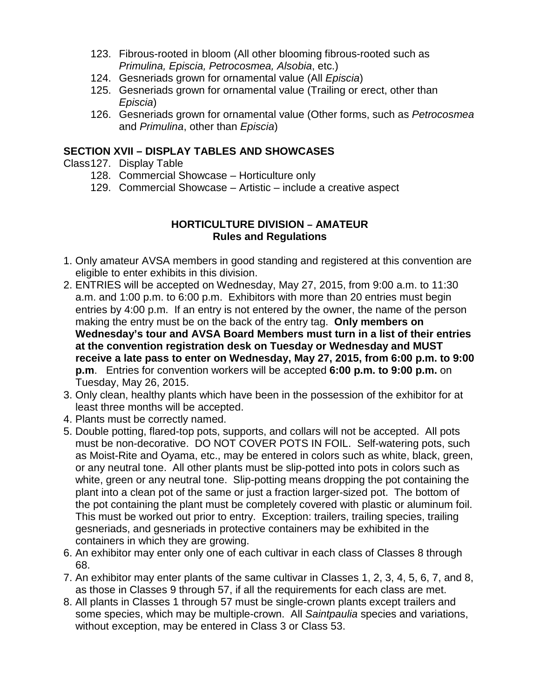- 123. Fibrous-rooted in bloom (All other blooming fibrous-rooted such as *Primulina, Episcia, Petrocosmea, Alsobia*, etc.)
- 124. Gesneriads grown for ornamental value (All *Episcia*)
- 125. Gesneriads grown for ornamental value (Trailing or erect, other than *Episcia*)
- 126. Gesneriads grown for ornamental value (Other forms, such as *Petrocosmea* and *Primulina*, other than *Episcia*)

#### **SECTION XVII – DISPLAY TABLES AND SHOWCASES**

- Class127. Display Table
	- 128. Commercial Showcase Horticulture only
	- 129. Commercial Showcase Artistic include a creative aspect

#### **HORTICULTURE DIVISION – AMATEUR Rules and Regulations**

- 1. Only amateur AVSA members in good standing and registered at this convention are eligible to enter exhibits in this division.
- 2. ENTRIES will be accepted on Wednesday, May 27, 2015, from 9:00 a.m. to 11:30 a.m. and 1:00 p.m. to 6:00 p.m. Exhibitors with more than 20 entries must begin entries by 4:00 p.m. If an entry is not entered by the owner, the name of the person making the entry must be on the back of the entry tag. **Only members on Wednesday's tour and AVSA Board Members must turn in a list of their entries at the convention registration desk on Tuesday or Wednesday and MUST receive a late pass to enter on Wednesday, May 27, 2015, from 6:00 p.m. to 9:00 p.m**. Entries for convention workers will be accepted **6:00 p.m. to 9:00 p.m.** on Tuesday, May 26, 2015.
- 3. Only clean, healthy plants which have been in the possession of the exhibitor for at least three months will be accepted.
- 4. Plants must be correctly named.
- 5. Double potting, flared-top pots, supports, and collars will not be accepted. All pots must be non-decorative. DO NOT COVER POTS IN FOIL. Self-watering pots, such as Moist-Rite and Oyama, etc., may be entered in colors such as white, black, green, or any neutral tone. All other plants must be slip-potted into pots in colors such as white, green or any neutral tone. Slip-potting means dropping the pot containing the plant into a clean pot of the same or just a fraction larger-sized pot. The bottom of the pot containing the plant must be completely covered with plastic or aluminum foil. This must be worked out prior to entry. Exception: trailers, trailing species, trailing gesneriads, and gesneriads in protective containers may be exhibited in the containers in which they are growing.
- 6. An exhibitor may enter only one of each cultivar in each class of Classes 8 through 68.
- 7. An exhibitor may enter plants of the same cultivar in Classes 1, 2, 3, 4, 5, 6, 7, and 8, as those in Classes 9 through 57, if all the requirements for each class are met.
- 8. All plants in Classes 1 through 57 must be single-crown plants except trailers and some species, which may be multiple-crown. All *Saintpaulia* species and variations, without exception, may be entered in Class 3 or Class 53.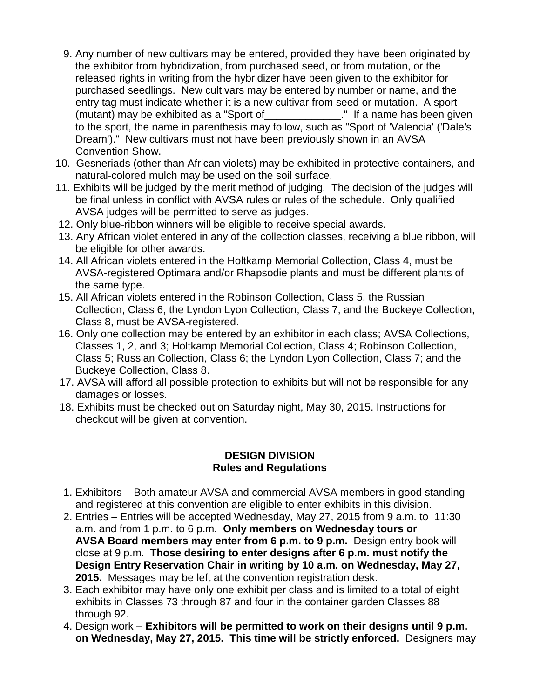- 9. Any number of new cultivars may be entered, provided they have been originated by the exhibitor from hybridization, from purchased seed, or from mutation, or the released rights in writing from the hybridizer have been given to the exhibitor for purchased seedlings. New cultivars may be entered by number or name, and the entry tag must indicate whether it is a new cultivar from seed or mutation. A sport (mutant) may be exhibited as a "Sport of\_\_\_\_\_\_\_\_\_\_\_\_\_." If a name has been given to the sport, the name in parenthesis may follow, such as "Sport of 'Valencia' ('Dale's Dream')." New cultivars must not have been previously shown in an AVSA Convention Show.
- 10. Gesneriads (other than African violets) may be exhibited in protective containers, and natural-colored mulch may be used on the soil surface.
- 11. Exhibits will be judged by the merit method of judging. The decision of the judges will be final unless in conflict with AVSA rules or rules of the schedule. Only qualified AVSA judges will be permitted to serve as judges.
- 12. Only blue-ribbon winners will be eligible to receive special awards.
- 13. Any African violet entered in any of the collection classes, receiving a blue ribbon, will be eligible for other awards.
- 14. All African violets entered in the Holtkamp Memorial Collection, Class 4, must be AVSA-registered Optimara and/or Rhapsodie plants and must be different plants of the same type.
- 15. All African violets entered in the Robinson Collection, Class 5, the Russian Collection, Class 6, the Lyndon Lyon Collection, Class 7, and the Buckeye Collection, Class 8, must be AVSA-registered.
- 16. Only one collection may be entered by an exhibitor in each class; AVSA Collections, Classes 1, 2, and 3; Holtkamp Memorial Collection, Class 4; Robinson Collection, Class 5; Russian Collection, Class 6; the Lyndon Lyon Collection, Class 7; and the Buckeye Collection, Class 8.
- 17. AVSA will afford all possible protection to exhibits but will not be responsible for any damages or losses.
- 18. Exhibits must be checked out on Saturday night, May 30, 2015. Instructions for checkout will be given at convention.

#### **DESIGN DIVISION Rules and Regulations**

- 1. Exhibitors Both amateur AVSA and commercial AVSA members in good standing and registered at this convention are eligible to enter exhibits in this division.
- 2. Entries Entries will be accepted Wednesday, May 27, 2015 from 9 a.m. to 11:30 a.m. and from 1 p.m. to 6 p.m. **Only members on Wednesday tours or AVSA Board members may enter from 6 p.m. to 9 p.m.** Design entry book will close at 9 p.m. **Those desiring to enter designs after 6 p.m. must notify the Design Entry Reservation Chair in writing by 10 a.m. on Wednesday, May 27, 2015.** Messages may be left at the convention registration desk.
- 3. Each exhibitor may have only one exhibit per class and is limited to a total of eight exhibits in Classes 73 through 87 and four in the container garden Classes 88 through 92.
- 4. Design work **Exhibitors will be permitted to work on their designs until 9 p.m. on Wednesday, May 27, 2015. This time will be strictly enforced.** Designers may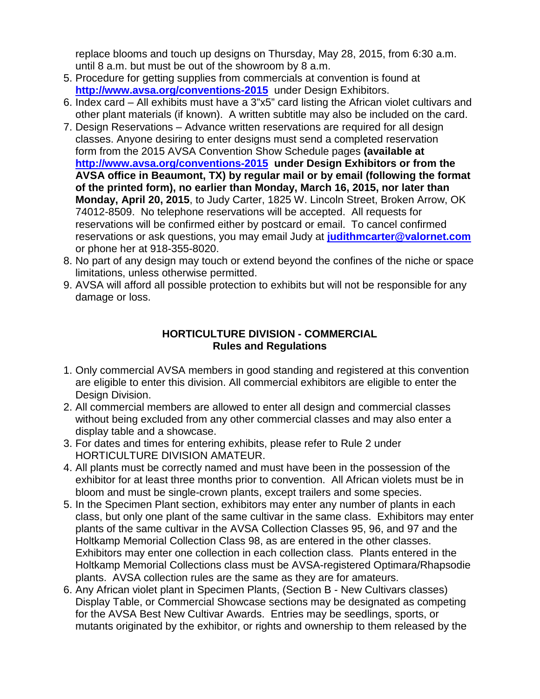replace blooms and touch up designs on Thursday, May 28, 2015, from 6:30 a.m. until 8 a.m. but must be out of the showroom by 8 a.m.

- 5. Procedure for getting supplies from commercials at convention is found at **<http://www.avsa.org/conventions-2015>**under Design Exhibitors.
- 6. Index card All exhibits must have a 3"x5" card listing the African violet cultivars and other plant materials (if known). A written subtitle may also be included on the card.
- 7. Design Reservations Advance written reservations are required for all design classes. Anyone desiring to enter designs must send a completed reservation form from the 2015 AVSA Convention Show Schedule pages **(available at <http://www.avsa.org/conventions-2015>under Design Exhibitors or from the AVSA office in Beaumont, TX) by regular mail or by email (following the format of the printed form), no earlier than Monday, March 16, 2015, nor later than Monday, April 20, 2015**, to Judy Carter, 1825 W. Lincoln Street, Broken Arrow, OK 74012-8509. No telephone reservations will be accepted. All requests for reservations will be confirmed either by postcard or email. To cancel confirmed reservations or ask questions, you may email Judy at **[judithmcarter@valornet.com](mailto:judithmcarter@valornet.com)** or phone her at 918-355-8020.
- 8. No part of any design may touch or extend beyond the confines of the niche or space limitations, unless otherwise permitted.
- 9. AVSA will afford all possible protection to exhibits but will not be responsible for any damage or loss.

#### **HORTICULTURE DIVISION - COMMERCIAL Rules and Regulations**

- 1. Only commercial AVSA members in good standing and registered at this convention are eligible to enter this division. All commercial exhibitors are eligible to enter the Design Division.
- 2. All commercial members are allowed to enter all design and commercial classes without being excluded from any other commercial classes and may also enter a display table and a showcase.
- 3. For dates and times for entering exhibits, please refer to Rule 2 under HORTICULTURE DIVISION AMATEUR.
- 4. All plants must be correctly named and must have been in the possession of the exhibitor for at least three months prior to convention. All African violets must be in bloom and must be single-crown plants, except trailers and some species.
- 5. In the Specimen Plant section, exhibitors may enter any number of plants in each class, but only one plant of the same cultivar in the same class. Exhibitors may enter plants of the same cultivar in the AVSA Collection Classes 95, 96, and 97 and the Holtkamp Memorial Collection Class 98, as are entered in the other classes. Exhibitors may enter one collection in each collection class. Plants entered in the Holtkamp Memorial Collections class must be AVSA-registered Optimara/Rhapsodie plants. AVSA collection rules are the same as they are for amateurs.
- 6. Any African violet plant in Specimen Plants, (Section B New Cultivars classes) Display Table, or Commercial Showcase sections may be designated as competing for the AVSA Best New Cultivar Awards. Entries may be seedlings, sports, or mutants originated by the exhibitor, or rights and ownership to them released by the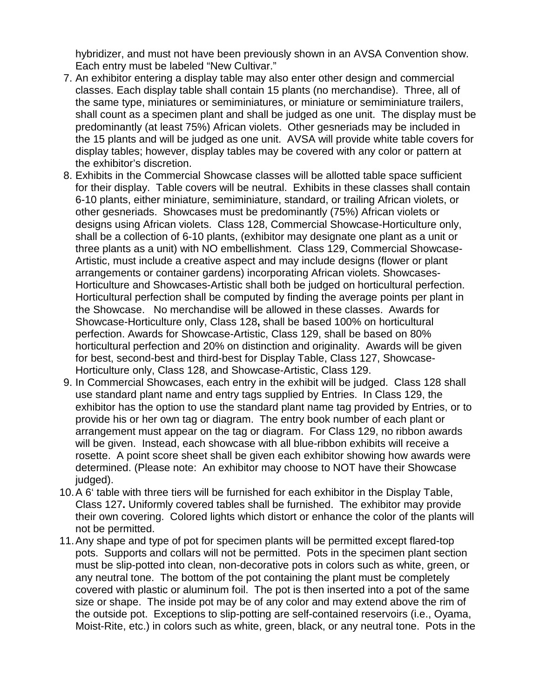hybridizer, and must not have been previously shown in an AVSA Convention show. Each entry must be labeled "New Cultivar."

- 7. An exhibitor entering a display table may also enter other design and commercial classes. Each display table shall contain 15 plants (no merchandise). Three, all of the same type, miniatures or semiminiatures, or miniature or semiminiature trailers, shall count as a specimen plant and shall be judged as one unit. The display must be predominantly (at least 75%) African violets. Other gesneriads may be included in the 15 plants and will be judged as one unit. AVSA will provide white table covers for display tables; however, display tables may be covered with any color or pattern at the exhibitor's discretion.
- 8. Exhibits in the Commercial Showcase classes will be allotted table space sufficient for their display. Table covers will be neutral. Exhibits in these classes shall contain 6-10 plants, either miniature, semiminiature, standard, or trailing African violets, or other gesneriads. Showcases must be predominantly (75%) African violets or designs using African violets.Class 128, Commercial Showcase-Horticulture only, shall be a collection of 6-10 plants, (exhibitor may designate one plant as a unit or three plants as a unit) with NO embellishment. Class 129, Commercial Showcase-Artistic, must include a creative aspect and may include designs (flower or plant arrangements or container gardens) incorporating African violets. Showcases-Horticulture and Showcases-Artistic shall both be judged on horticultural perfection. Horticultural perfection shall be computed by finding the average points per plant in the Showcase. No merchandise will be allowed in these classes. Awards for Showcase-Horticulture only, Class 128**,** shall be based 100% on horticultural perfection. Awards for Showcase-Artistic, Class 129, shall be based on 80% horticultural perfection and 20% on distinction and originality. Awards will be given for best, second-best and third-best for Display Table, Class 127, Showcase-Horticulture only, Class 128, and Showcase-Artistic, Class 129.
- 9. In Commercial Showcases, each entry in the exhibit will be judged.Class 128 shall use standard plant name and entry tags supplied by Entries. In Class 129, the exhibitor has the option to use the standard plant name tag provided by Entries, or to provide his or her own tag or diagram. The entry book number of each plant or arrangement must appear on the tag or diagram. For Class 129, no ribbon awards will be given. Instead, each showcase with all blue-ribbon exhibits will receive a rosette. A point score sheet shall be given each exhibitor showing how awards were determined. (Please note: An exhibitor may choose to NOT have their Showcase judged).
- 10.A 6' table with three tiers will be furnished for each exhibitor in the Display Table, Class 127**.** Uniformly covered tables shall be furnished. The exhibitor may provide their own covering. Colored lights which distort or enhance the color of the plants will not be permitted.
- 11.Any shape and type of pot for specimen plants will be permitted except flared-top pots. Supports and collars will not be permitted. Pots in the specimen plant section must be slip-potted into clean, non-decorative pots in colors such as white, green, or any neutral tone. The bottom of the pot containing the plant must be completely covered with plastic or aluminum foil. The pot is then inserted into a pot of the same size or shape. The inside pot may be of any color and may extend above the rim of the outside pot. Exceptions to slip-potting are self-contained reservoirs (i.e., Oyama, Moist-Rite, etc.) in colors such as white, green, black, or any neutral tone. Pots in the